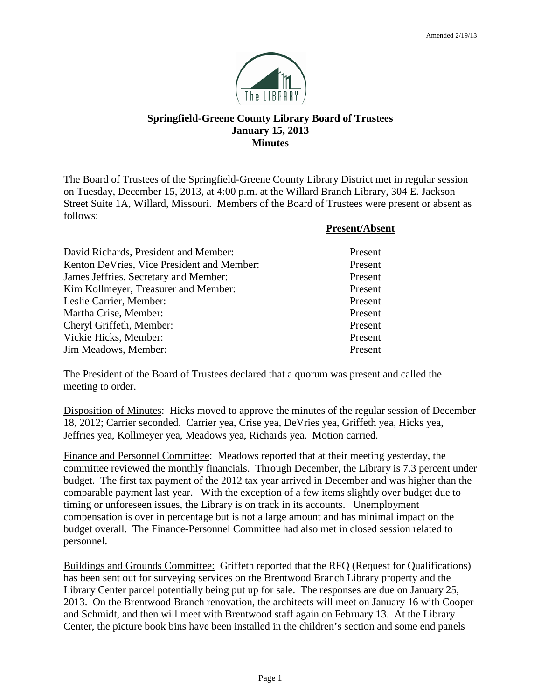

## **Springfield-Greene County Library Board of Trustees January 15, 2013 Minutes**

The Board of Trustees of the Springfield-Greene County Library District met in regular session on Tuesday, December 15, 2013, at 4:00 p.m. at the Willard Branch Library, 304 E. Jackson Street Suite 1A, Willard, Missouri. Members of the Board of Trustees were present or absent as follows:

|                                            | <b>Present/Absent</b> |
|--------------------------------------------|-----------------------|
| David Richards, President and Member:      | Present               |
| Kenton DeVries, Vice President and Member: | Present               |
| James Jeffries, Secretary and Member:      | Present               |
| Kim Kollmeyer, Treasurer and Member:       | Present               |
| Leslie Carrier, Member:                    | Present               |
| Martha Crise, Member:                      | Present               |
| Cheryl Griffeth, Member:                   | Present               |
| Vickie Hicks, Member:                      | Present               |
| Jim Meadows, Member:                       | Present               |

The President of the Board of Trustees declared that a quorum was present and called the meeting to order.

Disposition of Minutes: Hicks moved to approve the minutes of the regular session of December 18, 2012; Carrier seconded. Carrier yea, Crise yea, DeVries yea, Griffeth yea, Hicks yea, Jeffries yea, Kollmeyer yea, Meadows yea, Richards yea. Motion carried.

Finance and Personnel Committee: Meadows reported that at their meeting yesterday, the committee reviewed the monthly financials. Through December, the Library is 7.3 percent under budget. The first tax payment of the 2012 tax year arrived in December and was higher than the comparable payment last year. With the exception of a few items slightly over budget due to timing or unforeseen issues, the Library is on track in its accounts. Unemployment compensation is over in percentage but is not a large amount and has minimal impact on the budget overall. The Finance-Personnel Committee had also met in closed session related to personnel.

Buildings and Grounds Committee: Griffeth reported that the RFQ (Request for Qualifications) has been sent out for surveying services on the Brentwood Branch Library property and the Library Center parcel potentially being put up for sale. The responses are due on January 25, 2013. On the Brentwood Branch renovation, the architects will meet on January 16 with Cooper and Schmidt, and then will meet with Brentwood staff again on February 13. At the Library Center, the picture book bins have been installed in the children's section and some end panels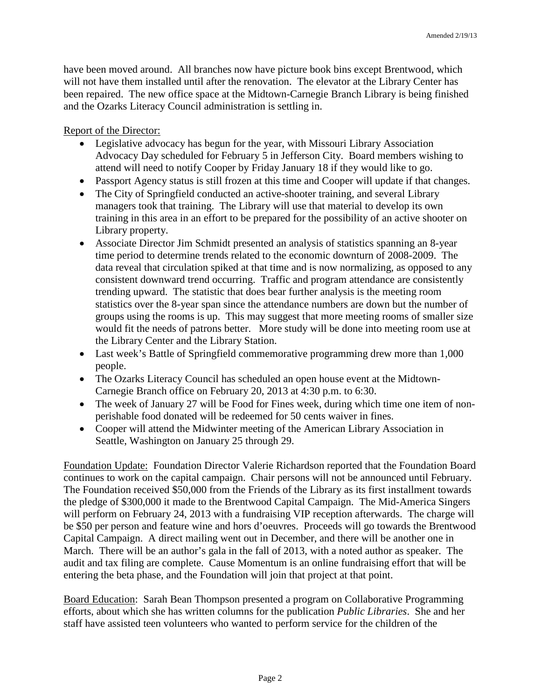have been moved around. All branches now have picture book bins except Brentwood, which will not have them installed until after the renovation. The elevator at the Library Center has been repaired. The new office space at the Midtown-Carnegie Branch Library is being finished and the Ozarks Literacy Council administration is settling in.

Report of the Director:

- Legislative advocacy has begun for the year, with Missouri Library Association Advocacy Day scheduled for February 5 in Jefferson City. Board members wishing to attend will need to notify Cooper by Friday January 18 if they would like to go.
- Passport Agency status is still frozen at this time and Cooper will update if that changes.
- The City of Springfield conducted an active-shooter training, and several Library managers took that training. The Library will use that material to develop its own training in this area in an effort to be prepared for the possibility of an active shooter on Library property.
- Associate Director Jim Schmidt presented an analysis of statistics spanning an 8-year time period to determine trends related to the economic downturn of 2008-2009. The data reveal that circulation spiked at that time and is now normalizing, as opposed to any consistent downward trend occurring. Traffic and program attendance are consistently trending upward. The statistic that does bear further analysis is the meeting room statistics over the 8-year span since the attendance numbers are down but the number of groups using the rooms is up. This may suggest that more meeting rooms of smaller size would fit the needs of patrons better. More study will be done into meeting room use at the Library Center and the Library Station.
- Last week's Battle of Springfield commemorative programming drew more than 1,000 people.
- The Ozarks Literacy Council has scheduled an open house event at the Midtown-Carnegie Branch office on February 20, 2013 at 4:30 p.m. to 6:30.
- The week of January 27 will be Food for Fines week, during which time one item of nonperishable food donated will be redeemed for 50 cents waiver in fines.
- Cooper will attend the Midwinter meeting of the American Library Association in Seattle, Washington on January 25 through 29.

Foundation Update: Foundation Director Valerie Richardson reported that the Foundation Board continues to work on the capital campaign. Chair persons will not be announced until February. The Foundation received \$50,000 from the Friends of the Library as its first installment towards the pledge of \$300,000 it made to the Brentwood Capital Campaign. The Mid-America Singers will perform on February 24, 2013 with a fundraising VIP reception afterwards. The charge will be \$50 per person and feature wine and hors d'oeuvres. Proceeds will go towards the Brentwood Capital Campaign. A direct mailing went out in December, and there will be another one in March. There will be an author's gala in the fall of 2013, with a noted author as speaker. The audit and tax filing are complete. Cause Momentum is an online fundraising effort that will be entering the beta phase, and the Foundation will join that project at that point.

Board Education: Sarah Bean Thompson presented a program on Collaborative Programming efforts, about which she has written columns for the publication *Public Libraries*. She and her staff have assisted teen volunteers who wanted to perform service for the children of the